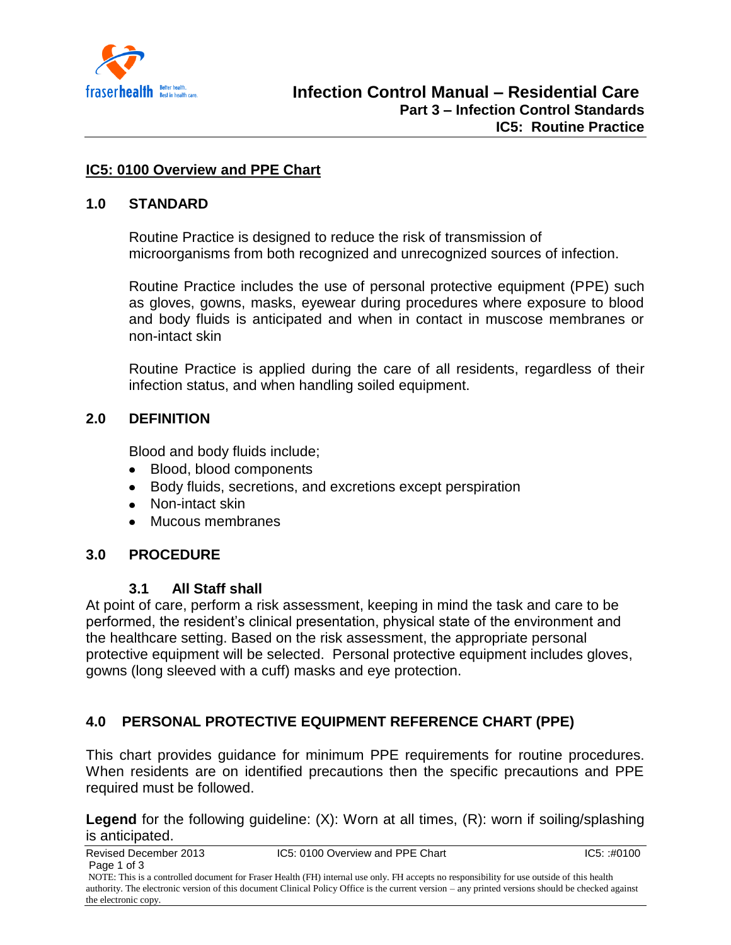

### **IC5: 0100 Overview and PPE Chart**

#### **1.0 STANDARD**

Routine Practice is designed to reduce the risk of transmission of microorganisms from both recognized and unrecognized sources of infection.

Routine Practice includes the use of personal protective equipment (PPE) such as gloves, gowns, masks, eyewear during procedures where exposure to blood and body fluids is anticipated and when in contact in muscose membranes or non-intact skin

Routine Practice is applied during the care of all residents, regardless of their infection status, and when handling soiled equipment.

### **2.0 DEFINITION**

Blood and body fluids include;

- Blood, blood components
- Body fluids, secretions, and excretions except perspiration
- Non-intact skin
- Mucous membranes

### **3.0 PROCEDURE**

### **3.1 All Staff shall**

At point of care, perform a risk assessment, keeping in mind the task and care to be performed, the resident's clinical presentation, physical state of the environment and the healthcare setting. Based on the risk assessment, the appropriate personal protective equipment will be selected. Personal protective equipment includes gloves, gowns (long sleeved with a cuff) masks and eye protection.

# **4.0 PERSONAL PROTECTIVE EQUIPMENT REFERENCE CHART (PPE)**

This chart provides guidance for minimum PPE requirements for routine procedures. When residents are on identified precautions then the specific precautions and PPE required must be followed.

**Legend** for the following guideline: (X): Worn at all times, (R): worn if soiling/splashing is anticipated.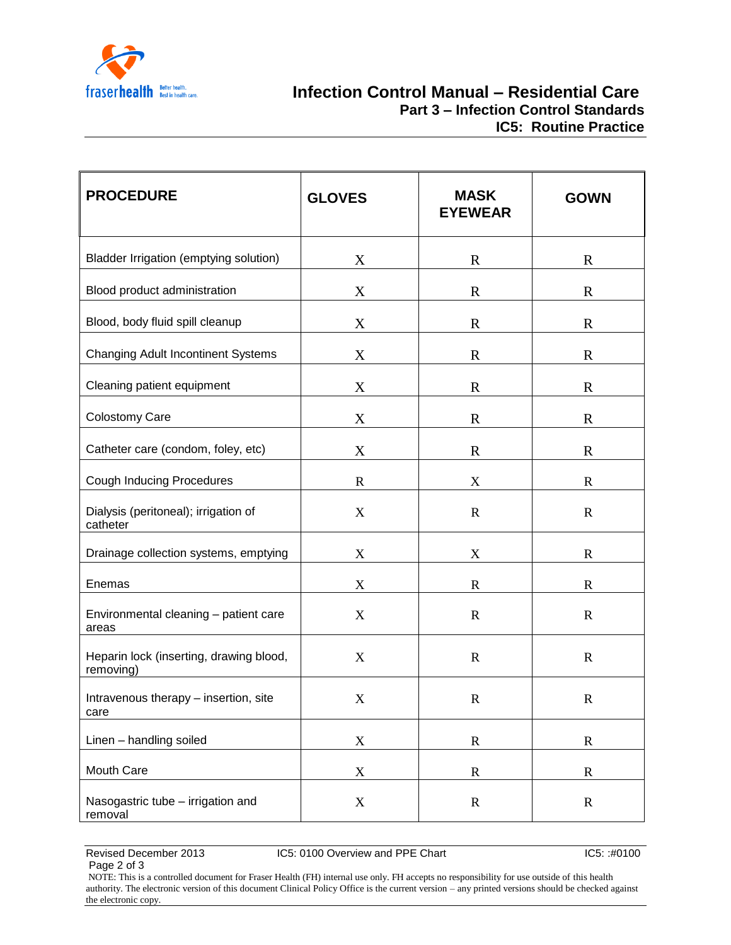

| <b>PROCEDURE</b>                                     | <b>GLOVES</b>             | <b>MASK</b><br><b>EYEWEAR</b> | <b>GOWN</b>  |
|------------------------------------------------------|---------------------------|-------------------------------|--------------|
| Bladder Irrigation (emptying solution)               | X                         | $\mathbf R$                   | $\mathbb{R}$ |
| Blood product administration                         | X                         | $\mathbf R$                   | $\mathbf R$  |
| Blood, body fluid spill cleanup                      | X                         | $\mathbf R$                   | $\mathbf R$  |
| <b>Changing Adult Incontinent Systems</b>            | X                         | $\mathbf R$                   | $\mathbf R$  |
| Cleaning patient equipment                           | X                         | $\mathbf R$                   | $\mathbf R$  |
| Colostomy Care                                       | X                         | $\mathbf R$                   | $\mathbf R$  |
| Catheter care (condom, foley, etc)                   | X                         | $\mathbf R$                   | $\mathbf R$  |
| <b>Cough Inducing Procedures</b>                     | $\mathbb{R}$              | X                             | $\mathbf R$  |
| Dialysis (peritoneal); irrigation of<br>catheter     | X                         | $\mathbf R$                   | $\mathbf R$  |
| Drainage collection systems, emptying                | X                         | $\mathbf X$                   | $\mathbf R$  |
| Enemas                                               | X                         | $\mathbf R$                   | $\mathbf R$  |
| Environmental cleaning - patient care<br>areas       | $\boldsymbol{\mathrm{X}}$ | $\mathbf R$                   | $\mathbf R$  |
| Heparin lock (inserting, drawing blood,<br>removing) | X                         | $\mathbf R$                   | $\mathbf R$  |
| Intravenous therapy - insertion, site<br>care        | X                         | $\mathbf R$                   | $\mathbf R$  |
| Linen - handling soiled                              | $\mathbf X$               | $\mathbf R$                   | $\mathbf R$  |
| Mouth Care                                           | $\mathbf X$               | $\mathbf R$                   | $\mathbf R$  |
| Nasogastric tube - irrigation and<br>removal         | $\mathbf X$               | $\mathbf R$                   | $\mathbf R$  |

Page 2 of 3

Revised December 2013 IC5: 0100 Overview and PPE Chart IC5: :#0100 IC5: :#0100

NOTE: This is a controlled document for Fraser Health (FH) internal use only. FH accepts no responsibility for use outside of this health authority. The electronic version of this document Clinical Policy Office is the current version – any printed versions should be checked against the electronic copy.